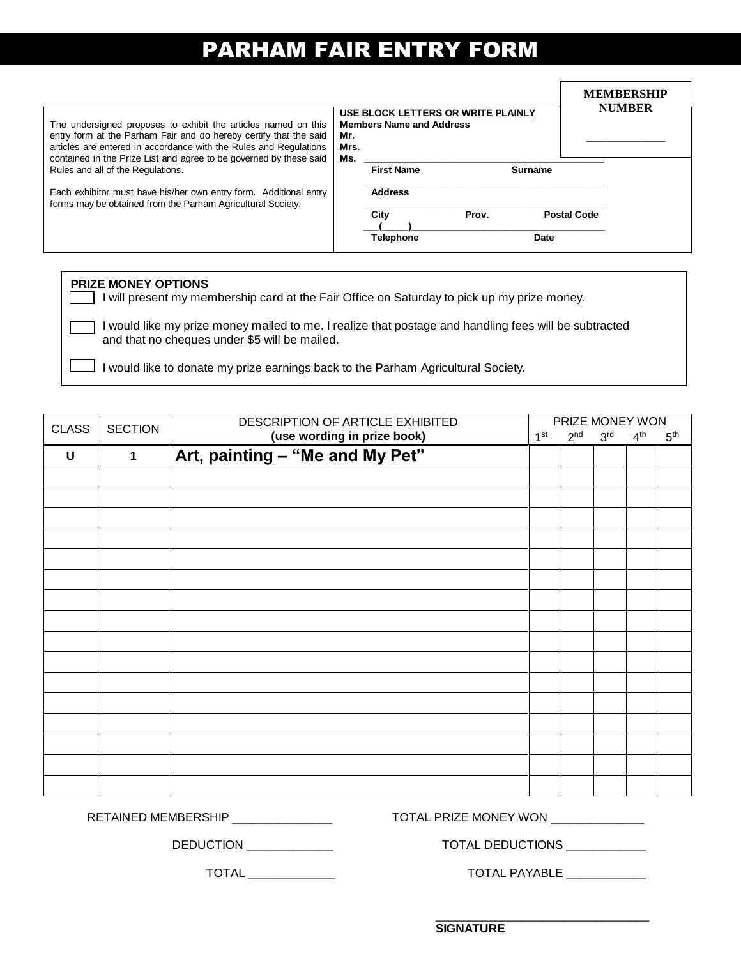## PARHAM FAIR ENTRY FORM

|                                                                                                                                  |                                 |                                    |         |                    | <b>MEMBERSHIP</b> |
|----------------------------------------------------------------------------------------------------------------------------------|---------------------------------|------------------------------------|---------|--------------------|-------------------|
|                                                                                                                                  |                                 | USE BLOCK LETTERS OR WRITE PLAINLY |         | <b>NUMBER</b>      |                   |
| The undersigned proposes to exhibit the articles named on this                                                                   | <b>Members Name and Address</b> |                                    |         |                    |                   |
| entry form at the Parham Fair and do hereby certify that the said                                                                | Mr.                             |                                    |         |                    |                   |
| articles are entered in accordance with the Rules and Regulations                                                                | Mrs.                            |                                    |         |                    |                   |
| contained in the Prize List and agree to be governed by these said                                                               | Ms.                             |                                    |         |                    |                   |
| Rules and all of the Regulations.                                                                                                |                                 | <b>First Name</b>                  | Surname |                    |                   |
| Each exhibitor must have his/her own entry form. Additional entry<br>forms may be obtained from the Parham Agricultural Society. |                                 | <b>Address</b>                     |         |                    |                   |
|                                                                                                                                  |                                 | City                               | Prov.   | <b>Postal Code</b> |                   |
|                                                                                                                                  |                                 | <b>Telephone</b>                   | Date    |                    |                   |
|                                                                                                                                  |                                 |                                    |         |                    |                   |

## **PRIZE MONEY OPTIONS**

**I**I will present my membership card at the Fair Office on Saturday to pick up my prize money.

I would like my prize money mailed to me. I realize that postage and handling fees will be subtracted and that no cheques under \$5 will be mailed.

 $\Box$  I would like to donate my prize earnings back to the Parham Agricultural Society.

| <b>SECTION</b><br><b>CLASS</b> |                             | DESCRIPTION OF ARTICLE EXHIBITED |                 | PRIZE MONEY WON |                 |                 |  |  |  |
|--------------------------------|-----------------------------|----------------------------------|-----------------|-----------------|-----------------|-----------------|--|--|--|
|                                | (use wording in prize book) | 1 <sup>st</sup>                  | 2 <sup>nd</sup> | 3 <sup>rd</sup> | 4 <sup>th</sup> | 5 <sup>th</sup> |  |  |  |
| $\mathsf U$                    | $\mathbf{1}$                | Art, painting - "Me and My Pet"  |                 |                 |                 |                 |  |  |  |
|                                |                             |                                  |                 |                 |                 |                 |  |  |  |
|                                |                             |                                  |                 |                 |                 |                 |  |  |  |
|                                |                             |                                  |                 |                 |                 |                 |  |  |  |
|                                |                             |                                  |                 |                 |                 |                 |  |  |  |
|                                |                             |                                  |                 |                 |                 |                 |  |  |  |
|                                |                             |                                  |                 |                 |                 |                 |  |  |  |
|                                |                             |                                  |                 |                 |                 |                 |  |  |  |
|                                |                             |                                  |                 |                 |                 |                 |  |  |  |
|                                |                             |                                  |                 |                 |                 |                 |  |  |  |
|                                |                             |                                  |                 |                 |                 |                 |  |  |  |
|                                |                             |                                  |                 |                 |                 |                 |  |  |  |
|                                |                             |                                  |                 |                 |                 |                 |  |  |  |
|                                |                             |                                  |                 |                 |                 |                 |  |  |  |
|                                |                             |                                  |                 |                 |                 |                 |  |  |  |
|                                |                             |                                  |                 |                 |                 |                 |  |  |  |
|                                |                             |                                  |                 |                 |                 |                 |  |  |  |

RETAINED MEMBERSHIP \_\_\_\_\_\_\_\_\_\_\_\_\_\_\_ TOTAL PRIZE MONEY WON \_\_\_\_\_\_\_\_\_\_\_\_\_\_

DEDUCTION \_\_\_\_\_\_\_\_\_\_\_\_\_ TOTAL DEDUCTIONS \_\_\_\_\_\_\_\_\_\_\_\_

TOTAL \_\_\_\_\_\_\_\_\_\_\_\_\_ TOTAL PAYABLE \_\_\_\_\_\_\_\_\_\_\_\_

\_\_\_\_\_\_\_\_\_\_\_\_\_\_\_\_\_\_\_\_\_\_\_\_\_\_\_\_\_\_\_\_ **SIGNATURE**